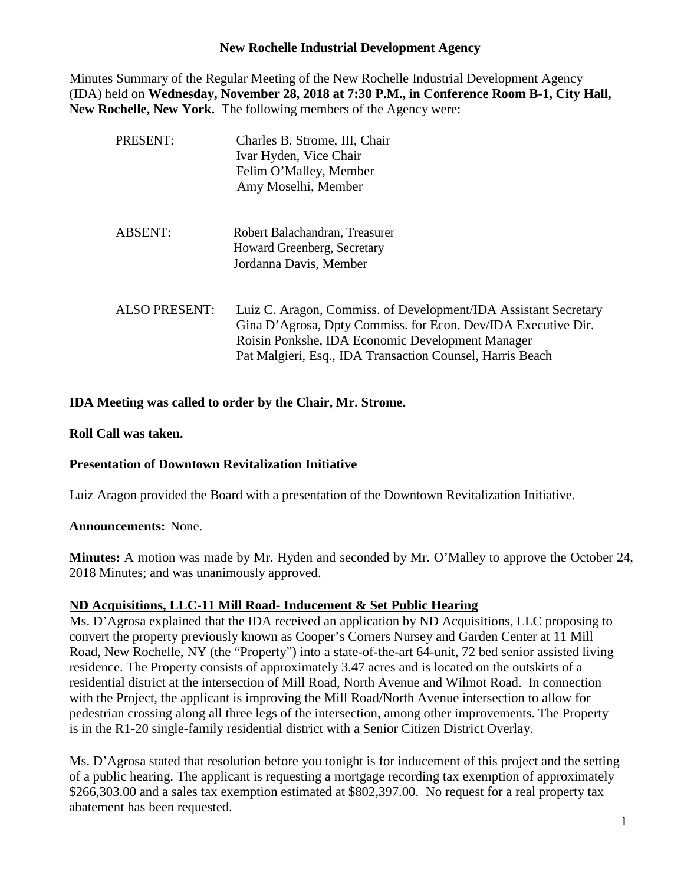### **New Rochelle Industrial Development Agency**

Minutes Summary of the Regular Meeting of the New Rochelle Industrial Development Agency (IDA) held on **Wednesday, November 28, 2018 at 7:30 P.M., in Conference Room B-1, City Hall, New Rochelle, New York.** The following members of the Agency were:

| PRESENT:             | Charles B. Strome, III, Chair<br>Ivar Hyden, Vice Chair<br>Felim O'Malley, Member<br>Amy Moselhi, Member                                                                                                                                          |
|----------------------|---------------------------------------------------------------------------------------------------------------------------------------------------------------------------------------------------------------------------------------------------|
| <b>ABSENT:</b>       | Robert Balachandran, Treasurer<br>Howard Greenberg, Secretary<br>Jordanna Davis, Member                                                                                                                                                           |
| <b>ALSO PRESENT:</b> | Luiz C. Aragon, Commiss. of Development/IDA Assistant Secretary<br>Gina D'Agrosa, Dpty Commiss. for Econ. Dev/IDA Executive Dir.<br>Roisin Ponkshe, IDA Economic Development Manager<br>Pat Malgieri, Esq., IDA Transaction Counsel, Harris Beach |

## **IDA Meeting was called to order by the Chair, Mr. Strome.**

### **Roll Call was taken.**

### **Presentation of Downtown Revitalization Initiative**

Luiz Aragon provided the Board with a presentation of the Downtown Revitalization Initiative.

### **Announcements:** None.

**Minutes:** A motion was made by Mr. Hyden and seconded by Mr. O'Malley to approve the October 24, 2018 Minutes; and was unanimously approved.

### **ND Acquisitions, LLC-11 Mill Road- Inducement & Set Public Hearing**

Ms. D'Agrosa explained that the IDA received an application by ND Acquisitions, LLC proposing to convert the property previously known as Cooper's Corners Nursey and Garden Center at 11 Mill Road, New Rochelle, NY (the "Property") into a state-of-the-art 64-unit, 72 bed senior assisted living residence. The Property consists of approximately 3.47 acres and is located on the outskirts of a residential district at the intersection of Mill Road, North Avenue and Wilmot Road. In connection with the Project, the applicant is improving the Mill Road/North Avenue intersection to allow for pedestrian crossing along all three legs of the intersection, among other improvements. The Property is in the R1-20 single-family residential district with a Senior Citizen District Overlay.

Ms. D'Agrosa stated that resolution before you tonight is for inducement of this project and the setting of a public hearing. The applicant is requesting a mortgage recording tax exemption of approximately \$266,303.00 and a sales tax exemption estimated at \$802,397.00. No request for a real property tax abatement has been requested.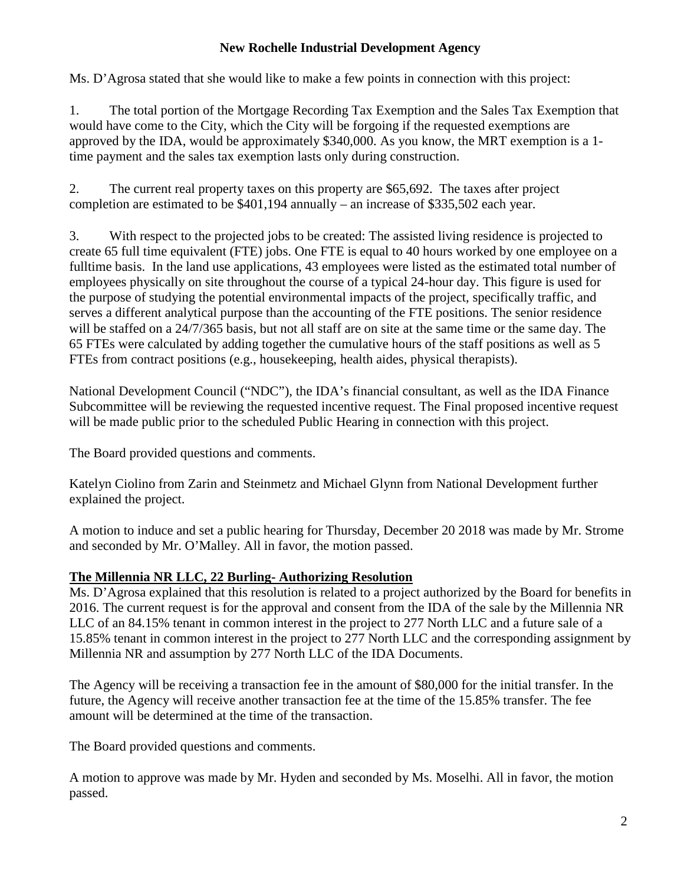## **New Rochelle Industrial Development Agency**

Ms. D'Agrosa stated that she would like to make a few points in connection with this project:

1. The total portion of the Mortgage Recording Tax Exemption and the Sales Tax Exemption that would have come to the City, which the City will be forgoing if the requested exemptions are approved by the IDA, would be approximately \$340,000. As you know, the MRT exemption is a 1 time payment and the sales tax exemption lasts only during construction.

2. The current real property taxes on this property are \$65,692. The taxes after project completion are estimated to be \$401,194 annually – an increase of \$335,502 each year.

3. With respect to the projected jobs to be created: The assisted living residence is projected to create 65 full time equivalent (FTE) jobs. One FTE is equal to 40 hours worked by one employee on a fulltime basis. In the land use applications, 43 employees were listed as the estimated total number of employees physically on site throughout the course of a typical 24-hour day. This figure is used for the purpose of studying the potential environmental impacts of the project, specifically traffic, and serves a different analytical purpose than the accounting of the FTE positions. The senior residence will be staffed on a 24/7/365 basis, but not all staff are on site at the same time or the same day. The 65 FTEs were calculated by adding together the cumulative hours of the staff positions as well as 5 FTEs from contract positions (e.g., housekeeping, health aides, physical therapists).

National Development Council ("NDC"), the IDA's financial consultant, as well as the IDA Finance Subcommittee will be reviewing the requested incentive request. The Final proposed incentive request will be made public prior to the scheduled Public Hearing in connection with this project.

The Board provided questions and comments.

Katelyn Ciolino from Zarin and Steinmetz and Michael Glynn from National Development further explained the project.

A motion to induce and set a public hearing for Thursday, December 20 2018 was made by Mr. Strome and seconded by Mr. O'Malley. All in favor, the motion passed.

# **The Millennia NR LLC, 22 Burling- Authorizing Resolution**

Ms. D'Agrosa explained that this resolution is related to a project authorized by the Board for benefits in 2016. The current request is for the approval and consent from the IDA of the sale by the Millennia NR LLC of an 84.15% tenant in common interest in the project to 277 North LLC and a future sale of a 15.85% tenant in common interest in the project to 277 North LLC and the corresponding assignment by Millennia NR and assumption by 277 North LLC of the IDA Documents.

The Agency will be receiving a transaction fee in the amount of \$80,000 for the initial transfer. In the future, the Agency will receive another transaction fee at the time of the 15.85% transfer. The fee amount will be determined at the time of the transaction.

The Board provided questions and comments.

A motion to approve was made by Mr. Hyden and seconded by Ms. Moselhi. All in favor, the motion passed.